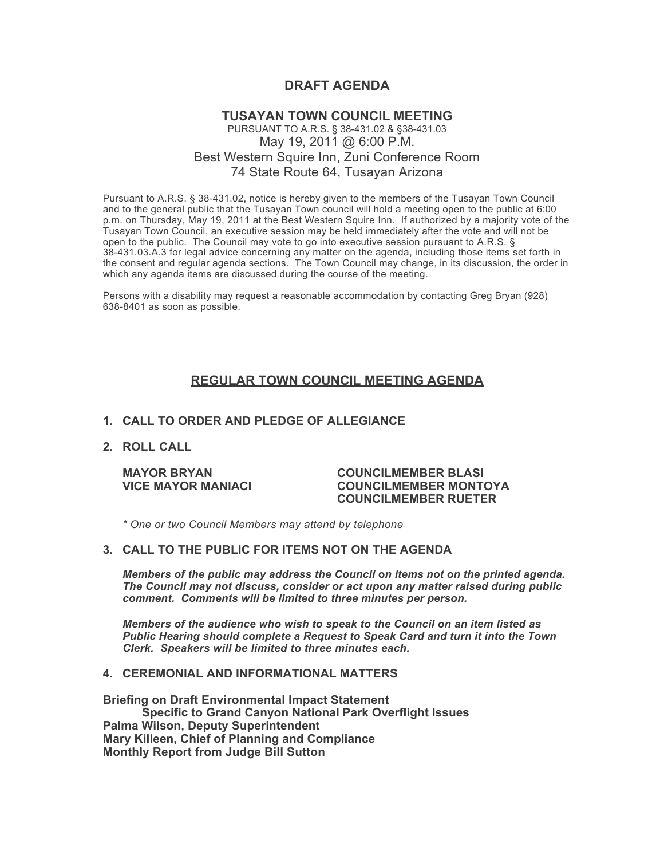# **DRAFT AGENDA**

## **TUSAYAN TOWN COUNCIL MEETING** PURSUANT TO A.R.S. § 38-431.02 & §38-431.03 May 19, 2011 @ 6:00 P.M. Best Western Squire Inn, Zuni Conference Room 74 State Route 64, Tusayan Arizona

Pursuant to A.R.S. § 38-431.02, notice is hereby given to the members of the Tusayan Town Council and to the general public that the Tusayan Town council will hold a meeting open to the public at 6:00 p.m. on Thursday, May 19, 2011 at the Best Western Squire Inn. If authorized by a majority vote of the Tusayan Town Council, an executive session may be held immediately after the vote and will not be open to the public. The Council may vote to go into executive session pursuant to A.R.S. § 38-431.03.A.3 for legal advice concerning any matter on the agenda, including those items set forth in the consent and regular agenda sections. The Town Council may change, in its discussion, the order in which any agenda items are discussed during the course of the meeting.

Persons with a disability may request a reasonable accommodation by contacting Greg Bryan (928) 638-8401 as soon as possible.

# **REGULAR TOWN COUNCIL MEETING AGENDA**

#### **1. CALL TO ORDER AND PLEDGE OF ALLEGIANCE**

### **2. ROLL CALL**

#### **MAYOR BRYAN COUNCILMEMBER BLASI VICE MAYOR MANIACI COUNCILMEMBER MONTOYA COUNCILMEMBER RUETER**

*\* One or two Council Members may attend by telephone*

### **3. CALL TO THE PUBLIC FOR ITEMS NOT ON THE AGENDA**

*Members of the public may address the Council* **o***n items not on the printed agenda. The Council may not discuss, consider or act upon any matter raised during public comment. Comments will be limited to three minutes per person.*

*Members of the audience who wish to speak to the Council on an item listed as Public Hearing should complete a Request to Speak Card and turn it into the Town Clerk. Speakers will be limited to three minutes each.*

#### **4. CEREMONIAL AND INFORMATIONAL MATTERS**

**Briefing on Draft Environmental Impact Statement Specific to Grand Canyon National Park Overflight Issues Palma Wilson, Deputy Superintendent Mary Killeen, Chief of Planning and Compliance Monthly Report from Judge Bill Sutton**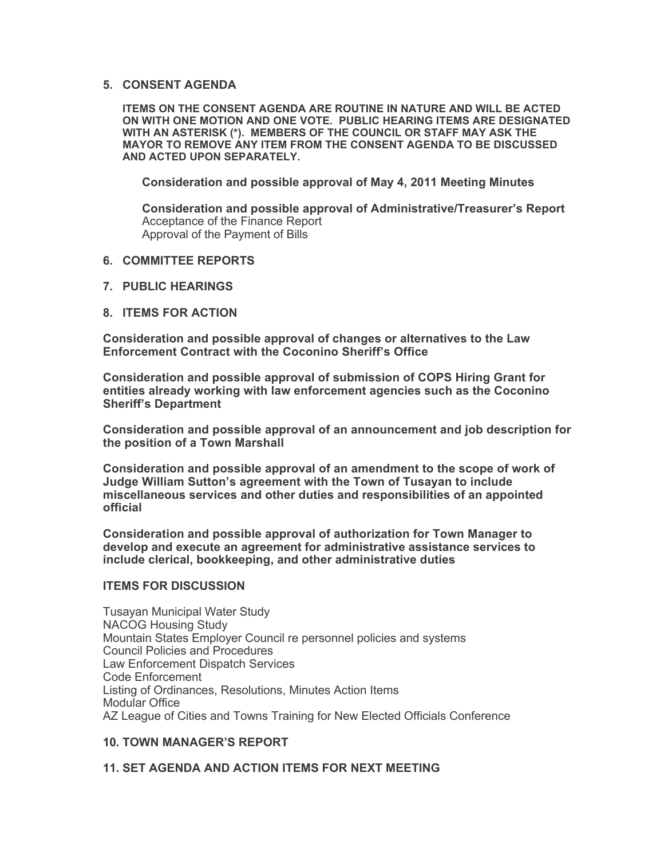### **5. CONSENT AGENDA**

**ITEMS ON THE CONSENT AGENDA ARE ROUTINE IN NATURE AND WILL BE ACTED ON WITH ONE MOTION AND ONE VOTE. PUBLIC HEARING ITEMS ARE DESIGNATED WITH AN ASTERISK (\*). MEMBERS OF THE COUNCIL OR STAFF MAY ASK THE MAYOR TO REMOVE ANY ITEM FROM THE CONSENT AGENDA TO BE DISCUSSED AND ACTED UPON SEPARATELY.**

**Consideration and possible approval of May 4, 2011 Meeting Minutes**

**Consideration and possible approval of Administrative/Treasurer's Report** Acceptance of the Finance Report Approval of the Payment of Bills

- **6. COMMITTEE REPORTS**
- **7. PUBLIC HEARINGS**
- **8. ITEMS FOR ACTION**

**Consideration and possible approval of changes or alternatives to the Law Enforcement Contract with the Coconino Sheriff's Office**

**Consideration and possible approval of submission of COPS Hiring Grant for entities already working with law enforcement agencies such as the Coconino Sheriff's Department**

**Consideration and possible approval of an announcement and job description for the position of a Town Marshall**

**Consideration and possible approval of an amendment to the scope of work of Judge William Sutton's agreement with the Town of Tusayan to include miscellaneous services and other duties and responsibilities of an appointed official**

**Consideration and possible approval of authorization for Town Manager to develop and execute an agreement for administrative assistance services to include clerical, bookkeeping, and other administrative duties**

## **ITEMS FOR DISCUSSION**

Tusayan Municipal Water Study NACOG Housing Study Mountain States Employer Council re personnel policies and systems Council Policies and Procedures Law Enforcement Dispatch Services Code Enforcement Listing of Ordinances, Resolutions, Minutes Action Items Modular Office AZ League of Cities and Towns Training for New Elected Officials Conference

## **10. TOWN MANAGER'S REPORT**

### **11. SET AGENDA AND ACTION ITEMS FOR NEXT MEETING**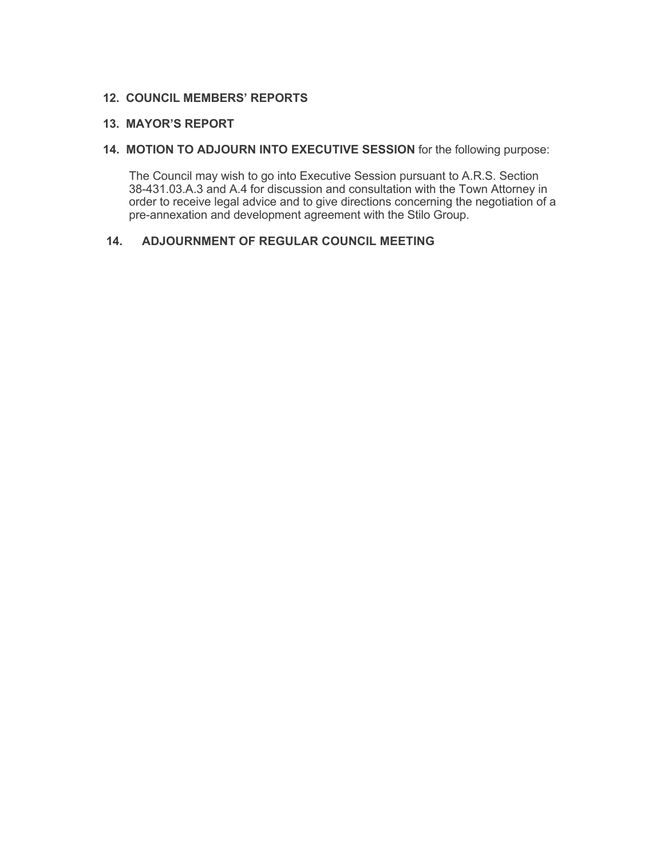# **12. COUNCIL MEMBERS' REPORTS**

## **13. MAYOR'S REPORT**

### **14. MOTION TO ADJOURN INTO EXECUTIVE SESSION** for the following purpose:

 The Council may wish to go into Executive Session pursuant to A.R.S. Section 38-431.03.A.3 and A.4 for discussion and consultation with the Town Attorney in order to receive legal advice and to give directions concerning the negotiation of a pre-annexation and development agreement with the Stilo Group.

# **14. ADJOURNMENT OF REGULAR COUNCIL MEETING**